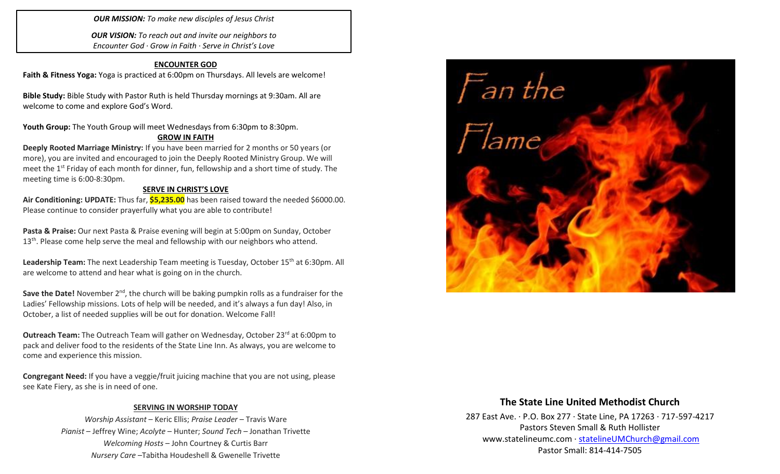*OUR MISSION: To make new disciples of Jesus Christ*

*OUR VISION: To reach out and invite our neighbors to Encounter God · Grow in Faith · Serve in Christ's Love*

#### **ENCOUNTER GOD**

**Faith & Fitness Yoga:** Yoga is practiced at 6:00pm on Thursdays. All levels are welcome!

**Bible Study:** Bible Study with Pastor Ruth is held Thursday mornings at 9:30am. All are welcome to come and explore God's Word.

Youth Group: The Youth Group will meet Wednesdays from 6:30pm to 8:30pm.

#### **GROW IN FAITH**

**Deeply Rooted Marriage Ministry:** If you have been married for 2 months or 50 years (or more), you are invited and encouraged to join the Deeply Rooted Ministry Group. We will meet the 1<sup>st</sup> Friday of each month for dinner, fun, fellowship and a short time of study. The meeting time is 6:00-8:30pm.

#### **SERVE IN CHRIST'S LOVE**

**Air Conditioning: UPDATE:** Thus far, **\$5,235.00** has been raised toward the needed \$6000.00. Please continue to consider prayerfully what you are able to contribute!

**Pasta & Praise:** Our next Pasta & Praise evening will begin at 5:00pm on Sunday, October  $13<sup>th</sup>$ . Please come help serve the meal and fellowship with our neighbors who attend.

**Leadership Team:** The next Leadership Team meeting is Tuesday, October 15th at 6:30pm. All are welcome to attend and hear what is going on in the church.

Save the Date! November 2<sup>nd</sup>, the church will be baking pumpkin rolls as a fundraiser for the Ladies' Fellowship missions. Lots of help will be needed, and it's always a fun day! Also, in October, a list of needed supplies will be out for donation. Welcome Fall!

**Outreach Team:** The Outreach Team will gather on Wednesday, October 23<sup>rd</sup> at 6:00pm to pack and deliver food to the residents of the State Line Inn. As always, you are welcome to come and experience this mission.

**Congregant Need:** If you have a veggie/fruit juicing machine that you are not using, please see Kate Fiery, as she is in need of one.

#### **SERVING IN WORSHIP TODAY**

*Worship Assistant* – Keric Ellis; *Praise Leader* – Travis Ware *Pianist* – Jeffrey Wine; *Acolyte* – Hunter; *Sound Tech* – Jonathan Trivette *Welcoming Hosts* – John Courtney & Curtis Barr *Nursery Care* –Tabitha Houdeshell & Gwenelle Trivette



## **The State Line United Methodist Church**

287 East Ave. · P.O. Box 277 · State Line, PA 17263 · 717-597-4217 Pastors Steven Small & Ruth Hollister [www.statelineumc.com](http://www.statelineumc.com/) · [statelineUMChurch@gmail.com](mailto:statelineUMChurch@gmail.com) Pastor Small: 814-414-7505